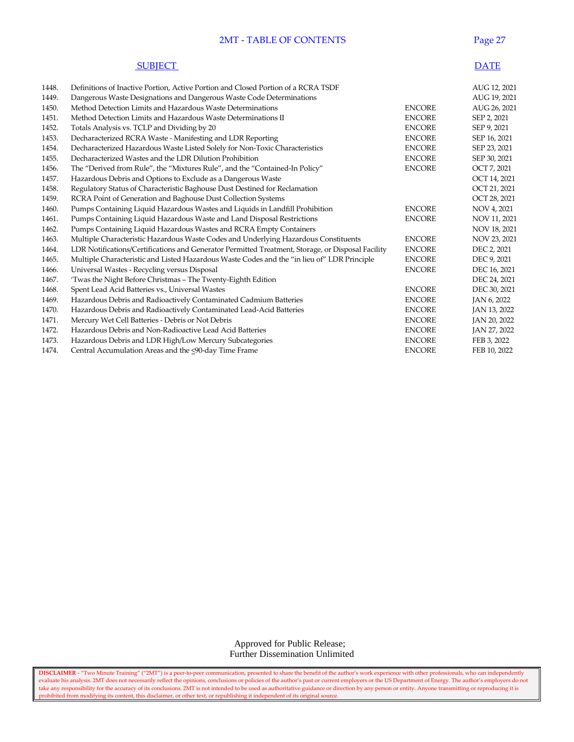#### 2MT - TABLE OF CONTENTS Page 27

| <b>SUBIECT</b> | <b>DATE</b> |
|----------------|-------------|
|----------------|-------------|

| 1448. | Definitions of Inactive Portion, Active Portion and Closed Portion of a RCRA TSDF                 |               | AUG 12, 2021 |
|-------|---------------------------------------------------------------------------------------------------|---------------|--------------|
| 1449. | Dangerous Waste Designations and Dangerous Waste Code Determinations                              |               | AUG 19, 2021 |
| 1450. | Method Detection Limits and Hazardous Waste Determinations                                        | <b>ENCORE</b> | AUG 26, 2021 |
| 1451. | Method Detection Limits and Hazardous Waste Determinations II                                     | <b>ENCORE</b> | SEP 2, 2021  |
| 1452. | Totals Analysis vs. TCLP and Dividing by 20                                                       | <b>ENCORE</b> | SEP 9, 2021  |
| 1453. | Decharacterized RCRA Waste - Manifesting and LDR Reporting                                        | <b>ENCORE</b> | SEP 16, 2021 |
| 1454. | Decharacterized Hazardous Waste Listed Solely for Non-Toxic Characteristics                       | <b>ENCORE</b> | SEP 23, 2021 |
| 1455. | Decharacterized Wastes and the LDR Dilution Prohibition                                           | <b>ENCORE</b> | SEP 30, 2021 |
| 1456. | The "Derived from Rule", the "Mixtures Rule", and the "Contained-In Policy"                       | <b>ENCORE</b> | OCT 7, 2021  |
| 1457. | Hazardous Debris and Options to Exclude as a Dangerous Waste                                      |               | OCT 14, 2021 |
| 1458. | Regulatory Status of Characteristic Baghouse Dust Destined for Reclamation                        |               | OCT 21, 2021 |
| 1459. | RCRA Point of Generation and Baghouse Dust Collection Systems                                     |               | OCT 28, 2021 |
| 1460. | Pumps Containing Liquid Hazardous Wastes and Liquids in Landfill Prohibition                      | <b>ENCORE</b> | NOV 4, 2021  |
| 1461. | Pumps Containing Liquid Hazardous Waste and Land Disposal Restrictions                            | <b>ENCORE</b> | NOV 11, 2021 |
| 1462. | Pumps Containing Liquid Hazardous Wastes and RCRA Empty Containers                                |               | NOV 18, 2021 |
| 1463. | Multiple Characteristic Hazardous Waste Codes and Underlying Hazardous Constituents               | <b>ENCORE</b> | NOV 23, 2021 |
| 1464. | LDR Notifications/Certifications and Generator Permitted Treatment, Storage, or Disposal Facility | <b>ENCORE</b> | DEC 2, 2021  |
| 1465. | Multiple Characteristic and Listed Hazardous Waste Codes and the "in lieu of" LDR Principle       | <b>ENCORE</b> | DEC 9, 2021  |
| 1466. | Universal Wastes - Recycling versus Disposal                                                      | <b>ENCORE</b> | DEC 16, 2021 |
| 1467. | 'Twas the Night Before Christmas - The Twenty-Eighth Edition                                      |               | DEC 24, 2021 |
| 1468. | Spent Lead Acid Batteries vs., Universal Wastes                                                   | <b>ENCORE</b> | DEC 30, 2021 |
| 1469. | Hazardous Debris and Radioactively Contaminated Cadmium Batteries                                 | <b>ENCORE</b> | JAN 6, 2022  |
| 1470. | Hazardous Debris and Radioactively Contaminated Lead-Acid Batteries                               | <b>ENCORE</b> | JAN 13, 2022 |
| 1471. | Mercury Wet Cell Batteries - Debris or Not Debris                                                 | <b>ENCORE</b> | JAN 20, 2022 |
| 1472. | Hazardous Debris and Non-Radioactive Lead Acid Batteries                                          | <b>ENCORE</b> | JAN 27, 2022 |
| 1473. | Hazardous Debris and LDR High/Low Mercury Subcategories                                           | <b>ENCORE</b> | FEB 3, 2022  |
| 1474. | Central Accumulation Areas and the <90-day Time Frame                                             | <b>ENCORE</b> | FEB 10, 2022 |

 Approved for Public Release; Further Dissemination Unlimited

**DISCLAIMER** - "Two Minute Training" ("2MT") is a peer-to-peer communication, presented to share the benefit of the author's work experience with other professionals, who can independently evaluate his analysis. 2MT does not necessarily reflect the opinions, conclusions or policies of the author's past or current employers or the US Department of Energy. The author's employers do not take any responsibility for the accuracy of its conclusions. 2MT is not intended to be used as authoritative guidance or direction by any person or entity. Anyone transmitting or reproducing it is prohibited from modifying its content, this disclaimer, or other text, or republishing it independent of its original source.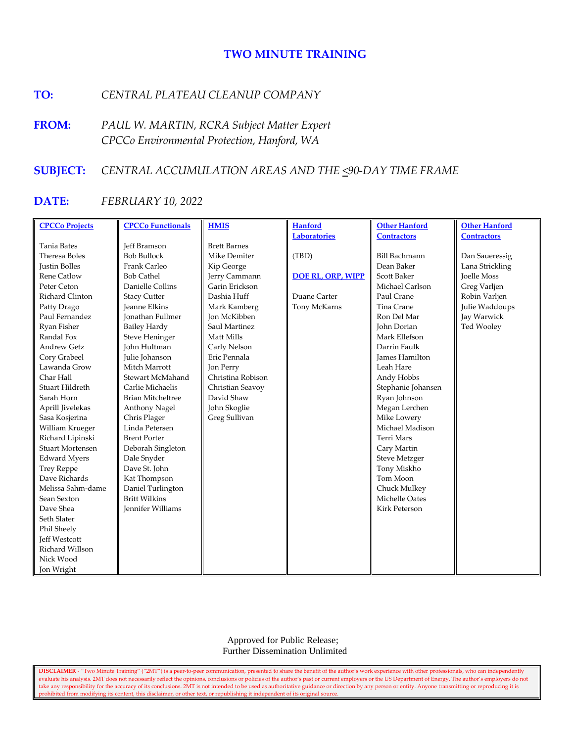# **TWO MINUTE TRAINING**

# **TO:** *CENTRAL PLATEAU CLEANUP COMPANY*

**FROM:** *PAUL W. MARTIN, RCRA Subject Matter Expert CPCCo Environmental Protection, Hanford, WA*

## **SUBJECT:** *CENTRAL ACCUMULATION AREAS AND THE <90-DAY TIME FRAME*

## **DATE:** *FEBRUARY 10, 2022*

| <b>CPCCo Projects</b>   | <b>CPCCo Functionals</b> | <b>HMIS</b>         | <b>Hanford</b>           | <b>Other Hanford</b>  | <b>Other Hanford</b> |
|-------------------------|--------------------------|---------------------|--------------------------|-----------------------|----------------------|
|                         |                          |                     | <b>Laboratories</b>      | <b>Contractors</b>    | <b>Contractors</b>   |
| <b>Tania Bates</b>      | <b>Jeff Bramson</b>      | <b>Brett Barnes</b> |                          |                       |                      |
| Theresa Boles           | <b>Bob Bullock</b>       | Mike Demiter        | (TBD)                    | <b>Bill Bachmann</b>  | Dan Saueressig       |
| Justin Bolles           | Frank Carleo             | Kip George          |                          | Dean Baker            | Lana Strickling      |
| Rene Catlow             | <b>Bob Cathel</b>        | Jerry Cammann       | <b>DOE RL, ORP, WIPP</b> | Scott Baker           | <b>Joelle Moss</b>   |
| Peter Ceton             | Danielle Collins         | Garin Erickson      |                          | Michael Carlson       | Greg Varljen         |
| Richard Clinton         | <b>Stacy Cutter</b>      | Dashia Huff         | Duane Carter             | Paul Crane            | Robin Varljen        |
| Patty Drago             | <b>Jeanne Elkins</b>     | Mark Kamberg        | Tony McKarns             | Tina Crane            | Julie Waddoups       |
| Paul Fernandez          | <b>Jonathan Fullmer</b>  | <b>Jon McKibben</b> |                          | Ron Del Mar           | Jay Warwick          |
| Ryan Fisher             | <b>Bailey Hardy</b>      | Saul Martinez       |                          | <b>John Dorian</b>    | Ted Wooley           |
| Randal Fox              | <b>Steve Heninger</b>    | Matt Mills          |                          | Mark Ellefson         |                      |
| <b>Andrew Getz</b>      | John Hultman             | Carly Nelson        |                          | Darrin Faulk          |                      |
| Cory Grabeel            | Julie Johanson           | Eric Pennala        |                          | <b>James Hamilton</b> |                      |
| Lawanda Grow            | Mitch Marrott            | Jon Perry           |                          | Leah Hare             |                      |
| Char Hall               | Stewart McMahand         | Christina Robison   |                          | Andy Hobbs            |                      |
| Stuart Hildreth         | Carlie Michaelis         | Christian Seavoy    |                          | Stephanie Johansen    |                      |
| Sarah Horn              | <b>Brian Mitcheltree</b> | David Shaw          |                          | Ryan Johnson          |                      |
| Aprill Jivelekas        | Anthony Nagel            | John Skoglie        |                          | Megan Lerchen         |                      |
| Sasa Kosjerina          | Chris Plager             | Greg Sullivan       |                          | Mike Lowery           |                      |
| William Krueger         | Linda Petersen           |                     |                          | Michael Madison       |                      |
| Richard Lipinski        | <b>Brent Porter</b>      |                     |                          | <b>Terri Mars</b>     |                      |
| <b>Stuart Mortensen</b> | Deborah Singleton        |                     |                          | Cary Martin           |                      |
| <b>Edward Myers</b>     | Dale Snyder              |                     |                          | <b>Steve Metzger</b>  |                      |
| <b>Trey Reppe</b>       | Dave St. John            |                     |                          | Tony Miskho           |                      |
| Dave Richards           | Kat Thompson             |                     |                          | Tom Moon              |                      |
| Melissa Sahm-dame       | Daniel Turlington        |                     |                          | Chuck Mulkey          |                      |
| Sean Sexton             | <b>Britt Wilkins</b>     |                     |                          | Michelle Oates        |                      |
| Dave Shea               | <b>Jennifer Williams</b> |                     |                          | <b>Kirk Peterson</b>  |                      |
| Seth Slater             |                          |                     |                          |                       |                      |
| Phil Sheely             |                          |                     |                          |                       |                      |
| <b>Jeff Westcott</b>    |                          |                     |                          |                       |                      |
| Richard Willson         |                          |                     |                          |                       |                      |
| Nick Wood               |                          |                     |                          |                       |                      |
| Jon Wright              |                          |                     |                          |                       |                      |

 Approved for Public Release; Further Dissemination Unlimited

**DISCLAIMER** - "Two Minute Training" ("2MT") is a peer-to-peer communication, presented to share the benefit of the author's work experience with other professionals, who can independently evaluate his analysis. 2MT does not necessarily reflect the opinions, conclusions or policies of the author's past or current employers or the US Department of Energy. The author's employers do not take any responsibility for the accuracy of its conclusions. 2MT is not intended to be used as authoritative guidance or direction by any person or entity. Anyone transmitting or reproducing it is prohibited from modifying its content, this disclaimer, or other text, or republishing it independent of its original source.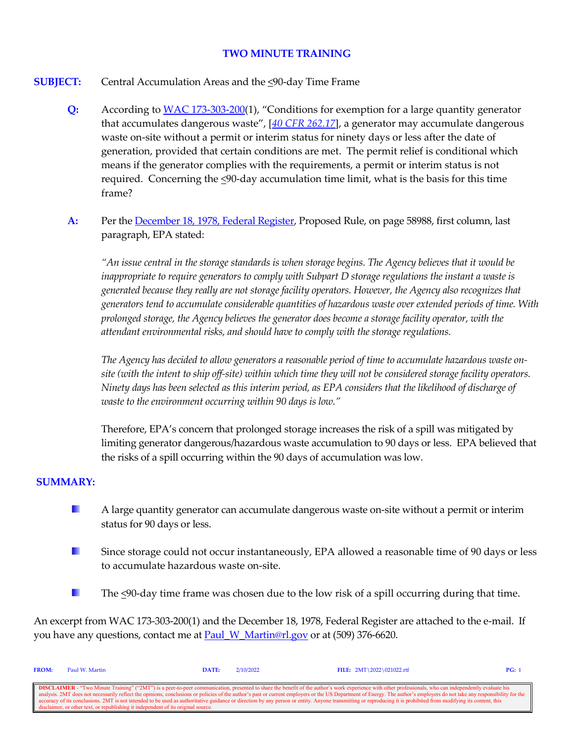# **TWO MINUTE TRAINING**

- **SUBJECT:** Central Accumulation Areas and the <90-day Time Frame
	- **Q:** According to [WAC 173-303-200\(](http://apps.leg.wa.gov/wac/default.aspx?cite=173-303-200)1), "Conditions for exemption for a large quantity generator that accumulates dangerous waste", [*[40 CFR 262.17](https://www.govinfo.gov/content/pkg/CFR-2020-title40-vol28/xml/CFR-2020-title40-vol28-sec262-17.xml)*], a generator may accumulate dangerous waste on-site without a permit or interim status for ninety days or less after the date of generation, provided that certain conditions are met. The permit relief is conditional which means if the generator complies with the requirements, a permit or interim status is not required. Concerning the  $\leq 90$ -day accumulation time limit, what is the basis for this time frame?
	- **A:** Per the [December 18, 1978, Federal Register,](https://www.epa.gov/sites/production/files/2016-03/documents/43fr58946.pdf) Proposed Rule, on page 58988, first column, last paragraph, EPA stated:

*"An issue central in the storage standards is when storage begins. The Agency believes that it would be inappropriate to require generators to comply with Subpart D storage regulations the instant a waste is generated because they really are not storage facility operators. However, the Agency also recognizes that generators tend to accumulate considerable quantities of hazardous waste over extended periods of time. With prolonged storage, the Agency believes the generator does become a storage facility operator, with the attendant environmental risks, and should have to comply with the storage regulations.*

*The Agency has decided to allow generators a reasonable period of time to accumulate hazardous waste onsite (with the intent to ship off-site) within which time they will not be considered storage facility operators. Ninety days has been selected as this interim period, as EPA considers that the likelihood of discharge of waste to the environment occurring within 90 days is low."*

Therefore, EPA's concern that prolonged storage increases the risk of a spill was mitigated by limiting generator dangerous/hazardous waste accumulation to 90 days or less. EPA believed that the risks of a spill occurring within the 90 days of accumulation was low.

#### **SUMMARY:**

- u, A large quantity generator can accumulate dangerous waste on-site without a permit or interim status for 90 days or less.
- a. Since storage could not occur instantaneously, EPA allowed a reasonable time of 90 days or less to accumulate hazardous waste on-site.
- u. The <90-day time frame was chosen due to the low risk of a spill occurring during that time.

An excerpt from WAC 173-303-200(1) and the December 18, 1978, Federal Register are attached to the e-mail. If you have any questions, contact me at [Paul\\_W\\_Martin@rl.gov](mailto:Paul_W_Martin@rl.gov?subject=Two%20Minute%20Training%20Question) or at (509) 376-6620.

| <b>FROM:</b>                                                                                                                                                                                                     | Paul W. Martin                                                                    | DATE: | 2/10/2022 | FILE: $2MT \ 2022 \ 021022.rtf$                                                                                                                                                                                          | PG: 1 |
|------------------------------------------------------------------------------------------------------------------------------------------------------------------------------------------------------------------|-----------------------------------------------------------------------------------|-------|-----------|--------------------------------------------------------------------------------------------------------------------------------------------------------------------------------------------------------------------------|-------|
|                                                                                                                                                                                                                  |                                                                                   |       |           |                                                                                                                                                                                                                          |       |
|                                                                                                                                                                                                                  |                                                                                   |       |           | <b>DISCLAIMER</b> - "Two Minute Training" ("2MT") is a peer-to-peer communication, presented to share the benefit of the author's work experience with other professionals, who can independently evaluate his           |       |
|                                                                                                                                                                                                                  |                                                                                   |       |           | analysis. 2MT does not necessarily reflect the opinions, conclusions or policies of the author's past or current employers or the US Department of Energy. The author's employers do not take any responsibility for the |       |
| accuracy of its conclusions. 2MT is not intended to be used as authoritative guidance or direction by any person or entity. Anyone transmitting or reproducing it is prohibited from modifying its content, this |                                                                                   |       |           |                                                                                                                                                                                                                          |       |
|                                                                                                                                                                                                                  | disclaimer, or other text, or republishing it independent of its original source. |       |           |                                                                                                                                                                                                                          |       |